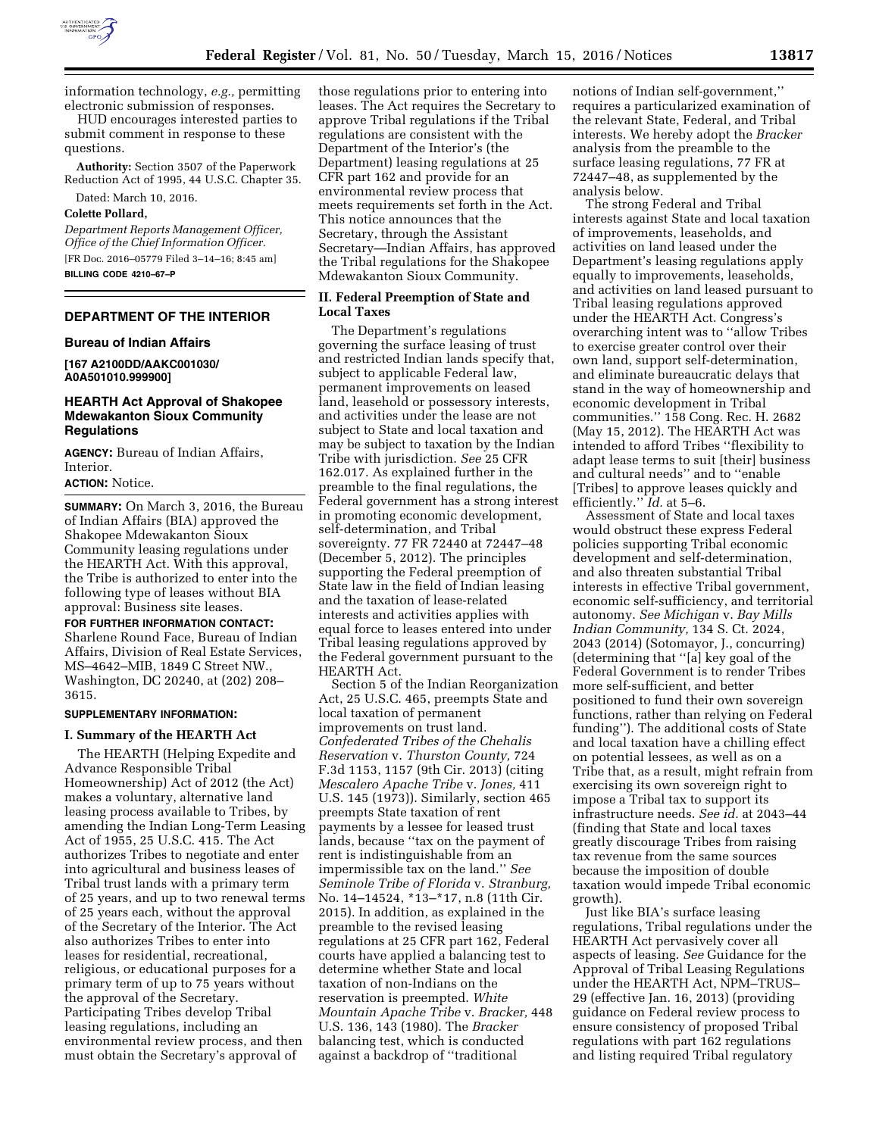

information technology, *e.g.,* permitting electronic submission of responses.

HUD encourages interested parties to submit comment in response to these questions.

**Authority:** Section 3507 of the Paperwork Reduction Act of 1995, 44 U.S.C. Chapter 35.

Dated: March 10, 2016.

# **Colette Pollard,**

*Department Reports Management Officer, Office of the Chief Information Officer.*  [FR Doc. 2016–05779 Filed 3–14–16; 8:45 am] **BILLING CODE 4210–67–P** 

## **DEPARTMENT OF THE INTERIOR**

#### **Bureau of Indian Affairs**

**[167 A2100DD/AAKC001030/ A0A501010.999900]** 

### **HEARTH Act Approval of Shakopee Mdewakanton Sioux Community Regulations**

**AGENCY:** Bureau of Indian Affairs, **Interior** 

#### **ACTION:** Notice.

**SUMMARY:** On March 3, 2016, the Bureau of Indian Affairs (BIA) approved the Shakopee Mdewakanton Sioux Community leasing regulations under the HEARTH Act. With this approval, the Tribe is authorized to enter into the following type of leases without BIA approval: Business site leases.

### **FOR FURTHER INFORMATION CONTACT:**  Sharlene Round Face, Bureau of Indian

Affairs, Division of Real Estate Services, MS–4642–MIB, 1849 C Street NW., Washington, DC 20240, at (202) 208– 3615.

## **SUPPLEMENTARY INFORMATION:**

#### **I. Summary of the HEARTH Act**

The HEARTH (Helping Expedite and Advance Responsible Tribal Homeownership) Act of 2012 (the Act) makes a voluntary, alternative land leasing process available to Tribes, by amending the Indian Long-Term Leasing Act of 1955, 25 U.S.C. 415. The Act authorizes Tribes to negotiate and enter into agricultural and business leases of Tribal trust lands with a primary term of 25 years, and up to two renewal terms of 25 years each, without the approval of the Secretary of the Interior. The Act also authorizes Tribes to enter into leases for residential, recreational, religious, or educational purposes for a primary term of up to 75 years without the approval of the Secretary. Participating Tribes develop Tribal leasing regulations, including an environmental review process, and then must obtain the Secretary's approval of

those regulations prior to entering into leases. The Act requires the Secretary to approve Tribal regulations if the Tribal regulations are consistent with the Department of the Interior's (the Department) leasing regulations at 25 CFR part 162 and provide for an environmental review process that meets requirements set forth in the Act. This notice announces that the Secretary, through the Assistant Secretary—Indian Affairs, has approved the Tribal regulations for the Shakopee Mdewakanton Sioux Community.

# **II. Federal Preemption of State and Local Taxes**

The Department's regulations governing the surface leasing of trust and restricted Indian lands specify that, subject to applicable Federal law, permanent improvements on leased land, leasehold or possessory interests, and activities under the lease are not subject to State and local taxation and may be subject to taxation by the Indian Tribe with jurisdiction. *See* 25 CFR 162.017. As explained further in the preamble to the final regulations, the Federal government has a strong interest in promoting economic development, self-determination, and Tribal sovereignty. 77 FR 72440 at 72447–48 (December 5, 2012). The principles supporting the Federal preemption of State law in the field of Indian leasing and the taxation of lease-related interests and activities applies with equal force to leases entered into under Tribal leasing regulations approved by the Federal government pursuant to the HEARTH Act.

Section 5 of the Indian Reorganization Act, 25 U.S.C. 465, preempts State and local taxation of permanent improvements on trust land. *Confederated Tribes of the Chehalis Reservation* v. *Thurston County,* 724 F.3d 1153, 1157 (9th Cir. 2013) (citing *Mescalero Apache Tribe* v. *Jones,* 411 U.S. 145 (1973)). Similarly, section 465 preempts State taxation of rent payments by a lessee for leased trust lands, because ''tax on the payment of rent is indistinguishable from an impermissible tax on the land.'' *See Seminole Tribe of Florida* v. *Stranburg,*  No. 14–14524, \*13–\*17, n.8 (11th Cir. 2015). In addition, as explained in the preamble to the revised leasing regulations at 25 CFR part 162, Federal courts have applied a balancing test to determine whether State and local taxation of non-Indians on the reservation is preempted. *White Mountain Apache Tribe* v. *Bracker,* 448 U.S. 136, 143 (1980). The *Bracker*  balancing test, which is conducted against a backdrop of ''traditional

notions of Indian self-government,'' requires a particularized examination of the relevant State, Federal, and Tribal interests. We hereby adopt the *Bracker*  analysis from the preamble to the surface leasing regulations, 77 FR at 72447–48, as supplemented by the analysis below.

The strong Federal and Tribal interests against State and local taxation of improvements, leaseholds, and activities on land leased under the Department's leasing regulations apply equally to improvements, leaseholds, and activities on land leased pursuant to Tribal leasing regulations approved under the HEARTH Act. Congress's overarching intent was to ''allow Tribes to exercise greater control over their own land, support self-determination, and eliminate bureaucratic delays that stand in the way of homeownership and economic development in Tribal communities.'' 158 Cong. Rec. H. 2682 (May 15, 2012). The HEARTH Act was intended to afford Tribes ''flexibility to adapt lease terms to suit [their] business and cultural needs'' and to ''enable [Tribes] to approve leases quickly and efficiently.'' *Id.* at 5–6.

Assessment of State and local taxes would obstruct these express Federal policies supporting Tribal economic development and self-determination, and also threaten substantial Tribal interests in effective Tribal government, economic self-sufficiency, and territorial autonomy. *See Michigan* v. *Bay Mills Indian Community,* 134 S. Ct. 2024, 2043 (2014) (Sotomayor, J., concurring) (determining that ''[a] key goal of the Federal Government is to render Tribes more self-sufficient, and better positioned to fund their own sovereign functions, rather than relying on Federal funding''). The additional costs of State and local taxation have a chilling effect on potential lessees, as well as on a Tribe that, as a result, might refrain from exercising its own sovereign right to impose a Tribal tax to support its infrastructure needs. *See id.* at 2043–44 (finding that State and local taxes greatly discourage Tribes from raising tax revenue from the same sources because the imposition of double taxation would impede Tribal economic growth).

Just like BIA's surface leasing regulations, Tribal regulations under the HEARTH Act pervasively cover all aspects of leasing. *See* Guidance for the Approval of Tribal Leasing Regulations under the HEARTH Act, NPM–TRUS– 29 (effective Jan. 16, 2013) (providing guidance on Federal review process to ensure consistency of proposed Tribal regulations with part 162 regulations and listing required Tribal regulatory